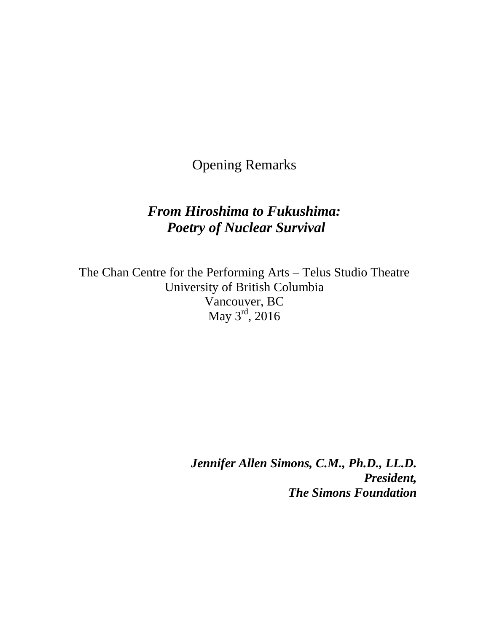Opening Remarks

## *From Hiroshima to Fukushima: Poetry of Nuclear Survival*

The Chan Centre for the Performing Arts – Telus Studio Theatre University of British Columbia Vancouver, BC May 3<sup>rd</sup>, 2016

> *Jennifer Allen Simons, C.M., Ph.D., LL.D. President, The Simons Foundation*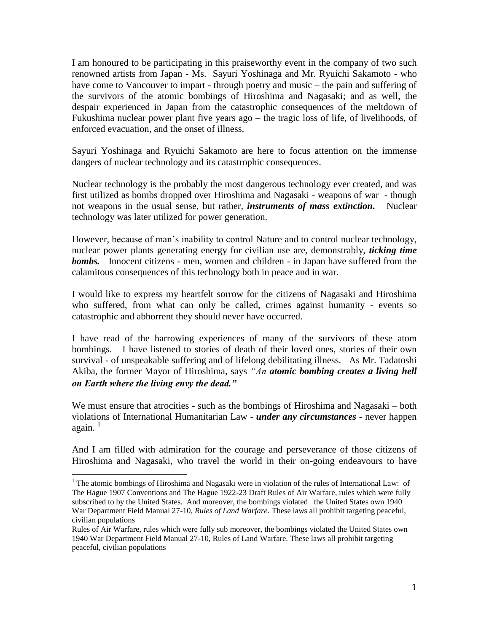I am honoured to be participating in this praiseworthy event in the company of two such renowned artists from Japan - Ms. Sayuri Yoshinaga and Mr. Ryuichi Sakamoto - who have come to Vancouver to impart - through poetry and music – the pain and suffering of the survivors of the atomic bombings of Hiroshima and Nagasaki; and as well, the despair experienced in Japan from the catastrophic consequences of the meltdown of Fukushima nuclear power plant five years ago – the tragic loss of life, of livelihoods, of enforced evacuation, and the onset of illness.

Sayuri Yoshinaga and Ryuichi Sakamoto are here to focus attention on the immense dangers of nuclear technology and its catastrophic consequences.

Nuclear technology is the probably the most dangerous technology ever created, and was first utilized as bombs dropped over Hiroshima and Nagasaki - weapons of war - though not weapons in the usual sense, but rather, *instruments of mass extinction.* Nuclear technology was later utilized for power generation.

However, because of man's inability to control Nature and to control nuclear technology, nuclear power plants generating energy for civilian use are, demonstrably, *ticking time bombs.* Innocent citizens - men, women and children - in Japan have suffered from the calamitous consequences of this technology both in peace and in war.

I would like to express my heartfelt sorrow for the citizens of Nagasaki and Hiroshima who suffered, from what can only be called, crimes against humanity - events so catastrophic and abhorrent they should never have occurred.

I have read of the harrowing experiences of many of the survivors of these atom bombings. I have listened to stories of death of their loved ones, stories of their own survival - of unspeakable suffering and of lifelong debilitating illness. As Mr. Tadatoshi Akiba, the former Mayor of Hiroshima, says *"An atomic bombing creates a living hell on Earth where the living envy the dead."* 

We must ensure that atrocities - such as the bombings of Hiroshima and Nagasaki – both violations of International Humanitarian Law - *under any circumstances* - never happen again. $1$ 

And I am filled with admiration for the courage and perseverance of those citizens of Hiroshima and Nagasaki, who travel the world in their on-going endeavours to have

l

<sup>&</sup>lt;sup>1</sup> The atomic bombings of Hiroshima and Nagasaki were in violation of the rules of International Law: of The Hague 1907 Conventions and The Hague 1922-23 Draft Rules of Air Warfare, rules which were fully subscribed to by the United States. And moreover, the bombings violated the United States own 1940 War Department Field Manual 27-10, *Rules of Land Warfare.* These laws all prohibit targeting peaceful, civilian populations

Rules of Air Warfare, rules which were fully sub moreover, the bombings violated the United States own 1940 War Department Field Manual 27-10, Rules of Land Warfare. These laws all prohibit targeting peaceful, civilian populations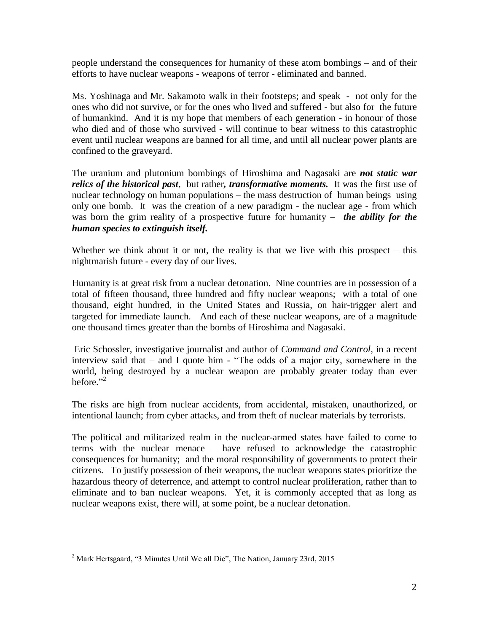people understand the consequences for humanity of these atom bombings – and of their efforts to have nuclear weapons - weapons of terror - eliminated and banned.

Ms. Yoshinaga and Mr. Sakamoto walk in their footsteps; and speak - not only for the ones who did not survive, or for the ones who lived and suffered - but also for the future of humankind. And it is my hope that members of each generation - in honour of those who died and of those who survived - will continue to bear witness to this catastrophic event until nuclear weapons are banned for all time, and until all nuclear power plants are confined to the graveyard.

The uranium and plutonium bombings of Hiroshima and Nagasaki are *not static war relics of the historical past*, but rather*, transformative moments.* It was the first use of nuclear technology on human populations – the mass destruction of human beings using only one bomb. It was the creation of a new paradigm - the nuclear age - from which was born the grim reality of a prospective future for humanity *– the ability for the human species to extinguish itself.* 

Whether we think about it or not, the reality is that we live with this prospect  $-$  this nightmarish future - every day of our lives.

Humanity is at great risk from a nuclear detonation. Nine countries are in possession of a total of fifteen thousand, three hundred and fifty nuclear weapons; with a total of one thousand, eight hundred, in the United States and Russia, on hair-trigger alert and targeted for immediate launch. And each of these nuclear weapons, are of a magnitude one thousand times greater than the bombs of Hiroshima and Nagasaki.

Eric Schossler, investigative journalist and author of *Command and Control,* in a recent interview said that – and I quote him - "The odds of a major city, somewhere in the world, being destroyed by a nuclear weapon are probably greater today than ever before."<sup>2</sup>

The risks are high from nuclear accidents, from accidental, mistaken, unauthorized, or intentional launch; from cyber attacks, and from theft of nuclear materials by terrorists.

The political and militarized realm in the nuclear-armed states have failed to come to terms with the nuclear menace – have refused to acknowledge the catastrophic consequences for humanity; and the moral responsibility of governments to protect their citizens. To justify possession of their weapons, the nuclear weapons states prioritize the hazardous theory of deterrence, and attempt to control nuclear proliferation, rather than to eliminate and to ban nuclear weapons. Yet, it is commonly accepted that as long as nuclear weapons exist, there will, at some point, be a nuclear detonation.

 $\overline{a}$ 

 $2^2$  Mark Hertsgaard, "3 Minutes Until We all Die", The Nation, January 23rd, 2015